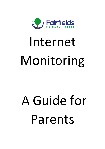

# Internet Monitoring

# A Guide for Parents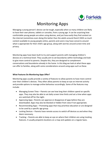

## Monitoring Apps

Managing a young person's device can be tough, especially when so many children are likely to have their own phones, tablets or consoles, from a young age. It can be surprising how comfortable young people are when using devices, and just how easily they find content on the internet (sometimes even doing this better than the adults around them!) With so much content available to young people online, parents and carers may have concerns around what is appropriate for their child's age group, along with worries around screen time and privacy.

Monitoring apps have been built to try and support parents with managing children's devices on a technical level. They usually aim to set boundaries within technology and look to give more control to parents. Despite this, they are designed to complement conversations and boundaries already in the home. In this blog we look at what these apps can offer to families, along with some considerations around using apps such as these.

#### **What Features Do Monitoring Apps Offer?**

Monitoring apps usually provide a variety of features to allow parents to have more control over their children's devices. They often allow parents to keep an eye on internet activity and provide options to manage online behaviour accordingly. Some of the features may include:

- Managing Screen Time Parents can see how long their children spend on specific apps. They may also be able to set daily screen time limits and set a time when apps are switched off for the night.
- Approving Apps –Parents can approve or disapprove of apps before they are downloaded. Apps may also be blocked or hidden from view if not appropriate.
- Recommending Apps Promoting apps that may prioritise education or are designed to be used by a specific age group.
- Locking Devices Parents have remote access to switch off devices as and when they deem necessary.
- Tracking Parents are able to keep an eye on where their children are using tracking features. It usually pinpoints locations on a map and updates on a regular basis.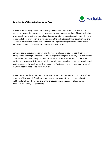

#### **Considerations When Using Monitoring Apps**

While it is encouraging to see apps working towards keeping children safe online, it is important to note that apps such as these are not a guaranteed method of keeping children away from harmful online content. Parents may want to use these types of apps if they are concerned about a young child using a device in the early stages of their development or if they have particular vulnerabilities, however it is important for parents to open a wider discussion in person if they want to address the issue better.

Communicating about online safety and the responsible use of devices openly can allow young people to navigate the internet with a respectable degree of privacy. It can also allow them to feel confident enough to come forward if an issue arises. Putting up consistent barriers and heavy restrictions through their development may lead to feeling overwhelmed and inexperienced when they reach an older age. The internet is used in so many areas of life; they need to keep up as much as we do.

Monitoring apps offer a lot of options for parents but it is important to take control of the situation offline as well. Opening a discussion around safer internet use can help with children identifying where risks are whilst encouraging understanding of appropriate behaviour when they navigate freely.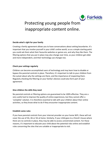

## Protecting young people from inappropriate content online.

#### **Decide what's right for your family**

Creating a family agreement allows you to have conversations about setting boundaries. It's important that you involve yourself in your child's online world, so as a simple starting point you could ask them what their favourite websites or games are, and why they like them. The filtering options that you put in place may also change over time, as your children get older and more independent, and their technology use changes too.

#### **Check your settings regularly**

Children can become accomplished users of technology and may learn how to disable or bypass the parental controls in place. Therefore, it's important to talk to your children from the outset about why the settings are there, and the importance of respecting them. Regularly checking the filtering on your family's devices could also form part of your agreement.

#### **Give children the skills they need**

No parental controls or filtering options are guaranteed to be 100% effective. They are a very useful tool to improve the quality of online experiences, but they cannot offer a 'complete' solution. It is therefore essential to talk with your children about their online activities, so they know what to do if they encounter inappropriate content.

#### **Establish some rules**

If you have parental controls from your internet provider on your home WiFi, these will not cover the use of 3G, 4G or 5G at home. Similarly, if your child goes to a friend's house where there are no controls in place, they may be able to access unrestricted content. For these reasons, it's important to educate your child about the potential risks online and establish rules concerning the sites that are suitable or inappropriate to visit.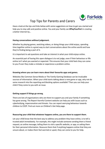

### Top Tips for Parents and Carers

Have a look at the tips and links below with some suggestions on how to get you started and help you to stay safe and positive online. You and your family can **#PlayYourPart** in creating a better internet by…

#### **Having conversations without judgement.**

Whether by playing games, watching videos, or doing things your child enjoys, spending time together online is a great way to start conversations about the online world and how they're finding being a part of it.

It is important to ask questions and take an interest in what your child enjoys online.

An essential part of having this open dialogue is to not judge, even if their behaviour or life online isn't what you wanted or expected. This ensures that your child feels they can come to you if ever they make a mistake or experience a problem online.

#### **Knowing where you can learn more about their favourite apps and games.**

Websites like Common Sense Media or The Family Gaming Database can be invaluable sources of information. When your child starts talking about a new game or app, why not do some research into the reporting and blocking options available? Then you can help your child if they come to you with an issue.

#### **Getting support if things go wrong.**

There are lots of organisations who are there to support you and your family if something has gone wrong. The Report Harmful Content website can help you with issues such as cyberbullying, impersonation and threats. You can report worrying behaviour towards children to CEOP. Find out more on Childnet's Get Help page.

#### **Reassuring your child that whatever happens online, you are there to support them.**

Let your child know that the best way to address any problem they have online, is to tell a trusted adult immediately. For example, this might include someone sending them a friend request; an online message; telling them to visit a specific website, or app; or asking them for their personal information. Reassure them that if anything happens online that they are unsure about, or makes them feel worried or upset, they can come to you for help.